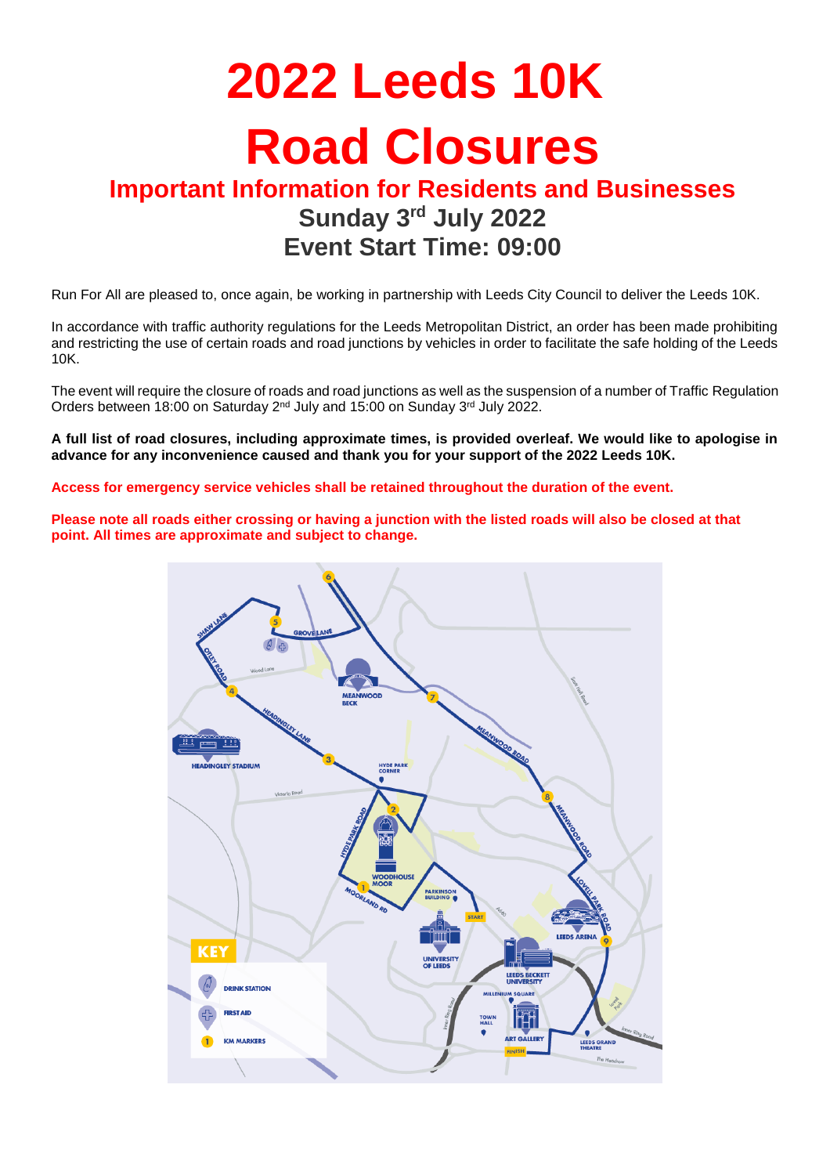# **2022 Leeds 10K Road Closures**

## **Important Information for Residents and Businesses Sunday 3 rd July 2022 Event Start Time: 09:00**

Run For All are pleased to, once again, be working in partnership with Leeds City Council to deliver the Leeds 10K.

In accordance with traffic authority regulations for the Leeds Metropolitan District, an order has been made prohibiting and restricting the use of certain roads and road junctions by vehicles in order to facilitate the safe holding of the Leeds 10K.

The event will require the closure of roads and road junctions as well as the suspension of a number of Traffic Regulation Orders between 18:00 on Saturday 2<sup>nd</sup> July and 15:00 on Sunday 3<sup>rd</sup> July 2022.

**A full list of road closures, including approximate times, is provided overleaf. We would like to apologise in advance for any inconvenience caused and thank you for your support of the 2022 Leeds 10K.**

**Access for emergency service vehicles shall be retained throughout the duration of the event.**

**Please note all roads either crossing or having a junction with the listed roads will also be closed at that point. All times are approximate and subject to change.**